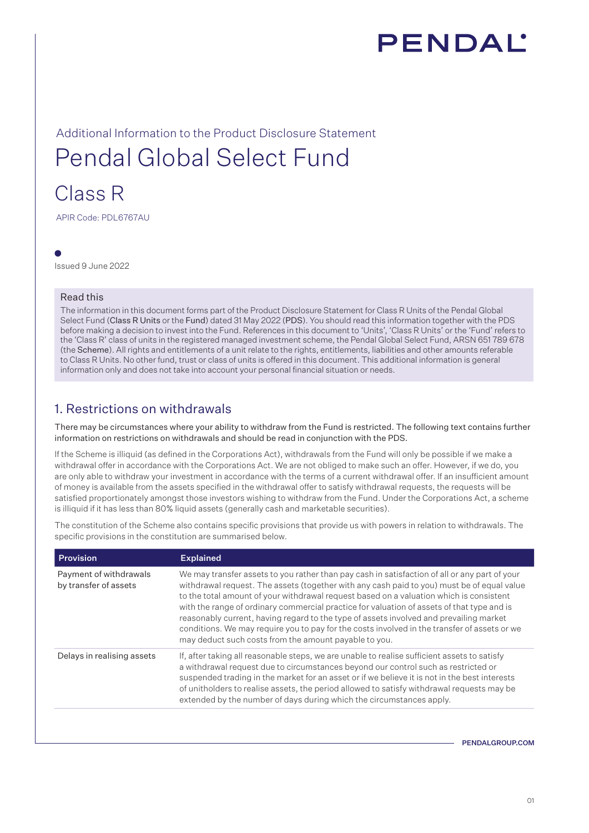

# Additional Information to the Product Disclosure Statement Pendal Global Select Fund

## Class R

APIR Code: PDL6767AU

Issued 9 June 2022

#### Read this

The information in this document forms part of the Product Disclosure Statement for Class R Units of the Pendal Global Select Fund (Class R Units or the Fund) dated 31 May 2022 (PDS). You should read this information together with the PDS before making a decision to invest into the Fund. References in this document to 'Units', 'Class R Units' or the 'Fund' refers to the 'Class R' class of units in the registered managed investment scheme, the Pendal Global Select Fund, ARSN 651 789 678 (the Scheme). All rights and entitlements of a unit relate to the rights, entitlements, liabilities and other amounts referable to Class R Units. No other fund, trust or class of units is offered in this document. This additional information is general information only and does not take into account your personal financial situation or needs.

## 1. Restrictions on withdrawals

There may be circumstances where your ability to withdraw from the Fund is restricted. The following text contains further information on restrictions on withdrawals and should be read in conjunction with the PDS.

If the Scheme is illiquid (as defined in the Corporations Act), withdrawals from the Fund will only be possible if we make a withdrawal offer in accordance with the Corporations Act. We are not obliged to make such an offer. However, if we do, you are only able to withdraw your investment in accordance with the terms of a current withdrawal offer. If an insufficient amount of money is available from the assets specified in the withdrawal offer to satisfy withdrawal requests, the requests will be satisfied proportionately amongst those investors wishing to withdraw from the Fund. Under the Corporations Act, a scheme is illiquid if it has less than 80% liquid assets (generally cash and marketable securities).

The constitution of the Scheme also contains specific provisions that provide us with powers in relation to withdrawals. The specific provisions in the constitution are summarised below.

| <b>Provision</b>                                | <b>Explained</b>                                                                                                                                                                                                                                                                                                                                                                                                                                                                                                                                                                                                                        |
|-------------------------------------------------|-----------------------------------------------------------------------------------------------------------------------------------------------------------------------------------------------------------------------------------------------------------------------------------------------------------------------------------------------------------------------------------------------------------------------------------------------------------------------------------------------------------------------------------------------------------------------------------------------------------------------------------------|
| Payment of withdrawals<br>by transfer of assets | We may transfer assets to you rather than pay cash in satisfaction of all or any part of your<br>withdrawal request. The assets (together with any cash paid to you) must be of equal value<br>to the total amount of your withdrawal request based on a valuation which is consistent<br>with the range of ordinary commercial practice for valuation of assets of that type and is<br>reasonably current, having regard to the type of assets involved and prevailing market<br>conditions. We may require you to pay for the costs involved in the transfer of assets or we<br>may deduct such costs from the amount payable to you. |
| Delays in realising assets                      | If, after taking all reasonable steps, we are unable to realise sufficient assets to satisfy<br>a withdrawal request due to circumstances beyond our control such as restricted or<br>suspended trading in the market for an asset or if we believe it is not in the best interests<br>of unitholders to realise assets, the period allowed to satisfy withdrawal requests may be<br>extended by the number of days during which the circumstances apply.                                                                                                                                                                               |
|                                                 |                                                                                                                                                                                                                                                                                                                                                                                                                                                                                                                                                                                                                                         |

PENDALGROUP.COM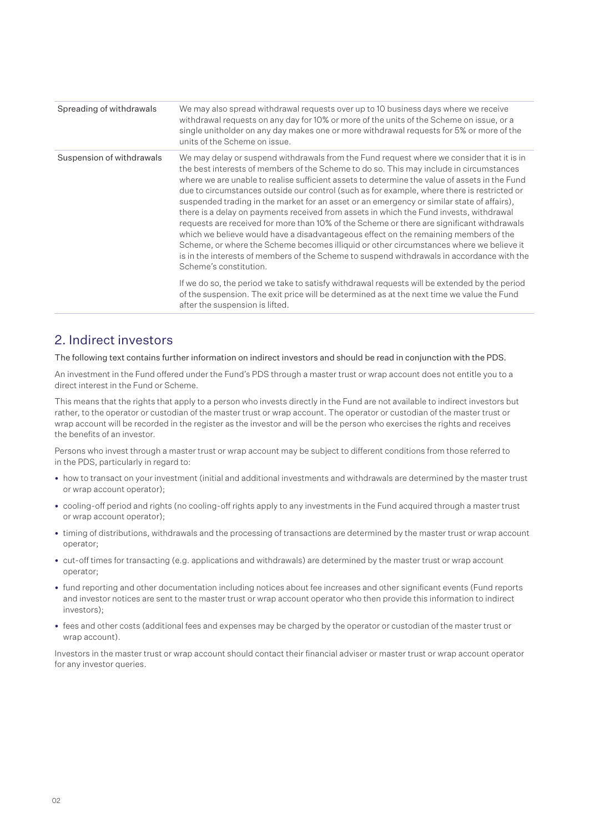| Spreading of withdrawals  | We may also spread withdrawal requests over up to 10 business days where we receive<br>withdrawal requests on any day for 10% or more of the units of the Scheme on issue, or a<br>single unitholder on any day makes one or more withdrawal requests for 5% or more of the<br>units of the Scheme on issue.                                                                                                                                                                                                                                                                                                                                                                                                                                                                                                                                                                                                                                                                           |
|---------------------------|----------------------------------------------------------------------------------------------------------------------------------------------------------------------------------------------------------------------------------------------------------------------------------------------------------------------------------------------------------------------------------------------------------------------------------------------------------------------------------------------------------------------------------------------------------------------------------------------------------------------------------------------------------------------------------------------------------------------------------------------------------------------------------------------------------------------------------------------------------------------------------------------------------------------------------------------------------------------------------------|
| Suspension of withdrawals | We may delay or suspend withdrawals from the Fund request where we consider that it is in<br>the best interests of members of the Scheme to do so. This may include in circumstances<br>where we are unable to realise sufficient assets to determine the value of assets in the Fund<br>due to circumstances outside our control (such as for example, where there is restricted or<br>suspended trading in the market for an asset or an emergency or similar state of affairs),<br>there is a delay on payments received from assets in which the Fund invests, withdrawal<br>requests are received for more than 10% of the Scheme or there are significant withdrawals<br>which we believe would have a disadvantageous effect on the remaining members of the<br>Scheme, or where the Scheme becomes illiquid or other circumstances where we believe it<br>is in the interests of members of the Scheme to suspend withdrawals in accordance with the<br>Scheme's constitution. |
|                           | If we do so, the period we take to satisfy withdrawal requests will be extended by the period<br>of the suspension. The exit price will be determined as at the next time we value the Fund<br>after the suspension is lifted.                                                                                                                                                                                                                                                                                                                                                                                                                                                                                                                                                                                                                                                                                                                                                         |

## 2. Indirect investors

The following text contains further information on indirect investors and should be read in conjunction with the PDS.

An investment in the Fund offered under the Fund's PDS through a master trust or wrap account does not entitle you to a direct interest in the Fund or Scheme.

This means that the rights that apply to a person who invests directly in the Fund are not available to indirect investors but rather, to the operator or custodian of the master trust or wrap account. The operator or custodian of the master trust or wrap account will be recorded in the register as the investor and will be the person who exercises the rights and receives the benefits of an investor.

Persons who invest through a master trust or wrap account may be subject to different conditions from those referred to in the PDS, particularly in regard to:

- how to transact on your investment (initial and additional investments and withdrawals are determined by the master trust or wrap account operator);
- cooling-off period and rights (no cooling-off rights apply to any investments in the Fund acquired through a master trust or wrap account operator);
- timing of distributions, withdrawals and the processing of transactions are determined by the master trust or wrap account operator;
- cut-off times for transacting (e.g. applications and withdrawals) are determined by the master trust or wrap account operator;
- fund reporting and other documentation including notices about fee increases and other significant events (Fund reports and investor notices are sent to the master trust or wrap account operator who then provide this information to indirect investors);
- fees and other costs (additional fees and expenses may be charged by the operator or custodian of the master trust or wrap account)

Investors in the master trust or wrap account should contact their financial adviser or master trust or wrap account operator for any investor queries.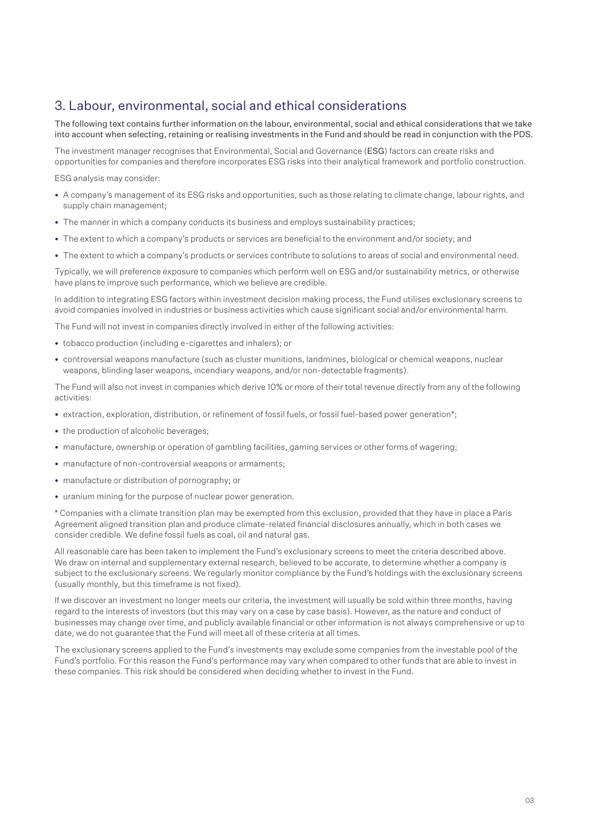## 3. Labour, environmental, social and ethical considerations

The following text contains further information on the labour, environmental, social and ethical considerations that we take into account when selecting, retaining or realising investments in the Fund and should be read in conjunction with the PDS.

The investment manager recognises that Environmental, Social and Governance (ESG) factors can create risks and opportunities for companies and therefore incorporates ESG risks into their analytical framework and portfolio construction.

ESG analysis may consider:

- A company's management of its ESG risks and opportunities, such as those relating to climate change, labour rights, and supply chain management;
- The manner in which a company conducts its business and employs sustainability practices;
- The extent to which a company's products or services are beneficial to the environment and/or society; and
- The extent to which a company's products or services contribute to solutions to areas of social and environmental need.

Typically, we will preference exposure to companies which perform well on ESG and/or sustainability metrics, or otherwise have plans to improve such performance, which we believe are credible.

In addition to integrating ESG factors within investment decision making process, the Fund utilises exclusionary screens to avoid companies involved in industries or business activities which cause significant social and/or environmental harm.

The Fund will not invest in companies directly involved in either of the following activities:

- tobacco production (including e-cigarettes and inhalers); or
- controversial weapons manufacture (such as cluster munitions, landmines, biological or chemical weapons, nuclear weapons, blinding laser weapons, incendiary weapons, and/or non-detectable fragments).

The Fund will also not invest in companies which derive 10% or more of their total revenue directly from any of the following activities:

- extraction, exploration, distribution, or refinement of fossil fuels, or fossil fuel-based power generation\*;
- the production of alcoholic beverages;
- manufacture, ownership or operation of gambling facilities, gaming services or other forms of wagering;
- manufacture of non-controversial weapons or armaments;
- manufacture or distribution of pornography; or
- uranium mining for the purpose of nuclear power generation.

\* Companies with a climate transition plan may be exempted from this exclusion, provided that they have in place a Paris Agreement aligned transition plan and produce climate-related financial disclosures annually, which in both cases we consider credible. We define fossil fuels as coal, oil and natural gas.

All reasonable care has been taken to implement the Fund's exclusionary screens to meet the criteria described above. We draw on internal and supplementary external research, believed to be accurate, to determine whether a company is subject to the exclusionary screens. We regularly monitor compliance by the Fund's holdings with the exclusionary screens (usually monthly, but this timeframe is not fixed).

If we discover an investment no longer meets our criteria, the investment will usually be sold within three months, having regard to the interests of investors (but this may vary on a case by case basis). However, as the nature and conduct of businesses may change over time, and publicly available financial or other information is not always comprehensive or up to date, we do not guarantee that the Fund will meet all of these criteria at all times.

The exclusionary screens applied to the Fund's investments may exclude some companies from the investable pool of the Fund's portfolio. For this reason the Fund's performance may vary when compared to other funds that are able to invest in these companies. This risk should be considered when deciding whether to invest in the Fund.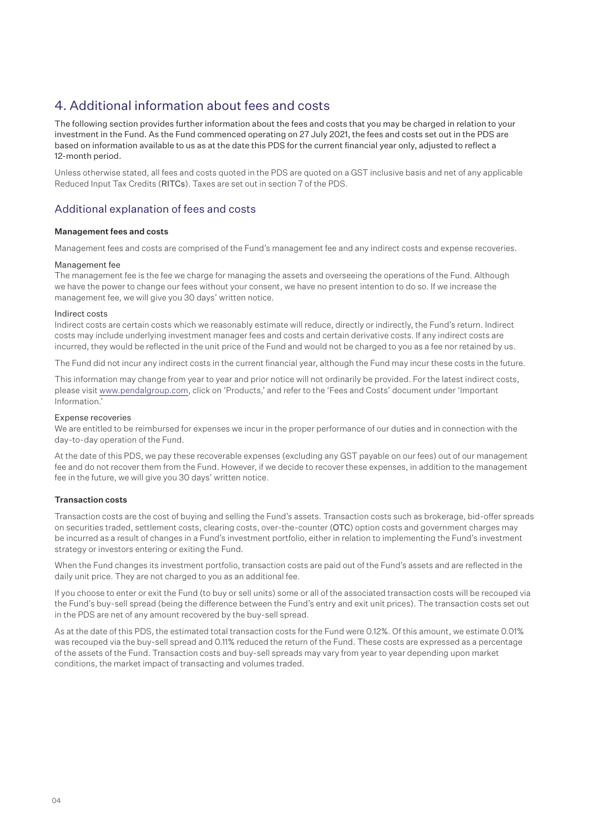## 4. Additional information about fees and costs

The following section provides further information about the fees and costs that you may be charged in relation to your investment in the Fund. As the Fund commenced operating on 27 July 2021, the fees and costs set out in the PDS are based on information available to us as at the date this PDS for the current financial year only, adjusted to reflect a 12-month period.

Unless otherwise stated, all fees and costs quoted in the PDS are quoted on a GST inclusive basis and net of any applicable Reduced Input Tax Credits (RITCs). Taxes are set out in section 7 of the PDS.

#### Additional explanation of fees and costs

#### Management fees and costs

Management fees and costs are comprised of the Fund's management fee and any indirect costs and expense recoveries.

#### Management fee

The management fee is the fee we charge for managing the assets and overseeing the operations of the Fund. Although we have the power to change our fees without your consent, we have no present intention to do so. If we increase the management fee, we will give you 30 days' written notice.

#### Indirect costs

Indirect costs are certain costs which we reasonably estimate will reduce, directly or indirectly, the Fund's return. Indirect costs may include underlying investment manager fees and costs and certain derivative costs. If any indirect costs are incurred, they would be reflected in the unit price of the Fund and would not be charged to you as a fee nor retained by us.

The Fund did not incur any indirect costs in the current financial year, although the Fund may incur these costs in the future.

This information may change from year to year and prior notice will not ordinarily be provided. For the latest indirect costs, please visit www.pendalgroup.com, click on 'Products,' and refer to the 'Fees and Costs' document under 'Important Information.'

#### Expense recoveries

We are entitled to be reimbursed for expenses we incur in the proper performance of our duties and in connection with the day-to-day operation of the Fund.

At the date of this PDS, we pay these recoverable expenses (excluding any GST payable on our fees) out of our management fee and do not recover them from the Fund. However, if we decide to recover these expenses, in addition to the management fee in the future, we will give you 30 days' written notice.

#### Transaction costs

Transaction costs are the cost of buying and selling the Fund's assets. Transaction costs such as brokerage, bid-offer spreads on securities traded, settlement costs, clearing costs, over-the-counter (OTC) option costs and government charges may be incurred as a result of changes in a Fund's investment portfolio, either in relation to implementing the Fund's investment strategy or investors entering or exiting the Fund.

When the Fund changes its investment portfolio, transaction costs are paid out of the Fund's assets and are reflected in the daily unit price. They are not charged to you as an additional fee.

If you choose to enter or exit the Fund (to buy or sell units) some or all of the associated transaction costs will be recouped via the Fund's buy-sell spread (being the difference between the Fund's entry and exit unit prices). The transaction costs set out in the PDS are net of any amount recovered by the buy-sell spread.

As at the date of this PDS, the estimated total transaction costs for the Fund were 0.12%. Of this amount, we estimate 0.01% was recouped via the buy-sell spread and 0.11% reduced the return of the Fund. These costs are expressed as a percentage of the assets of the Fund. Transaction costs and buy-sell spreads may vary from year to year depending upon market conditions, the market impact of transacting and volumes traded.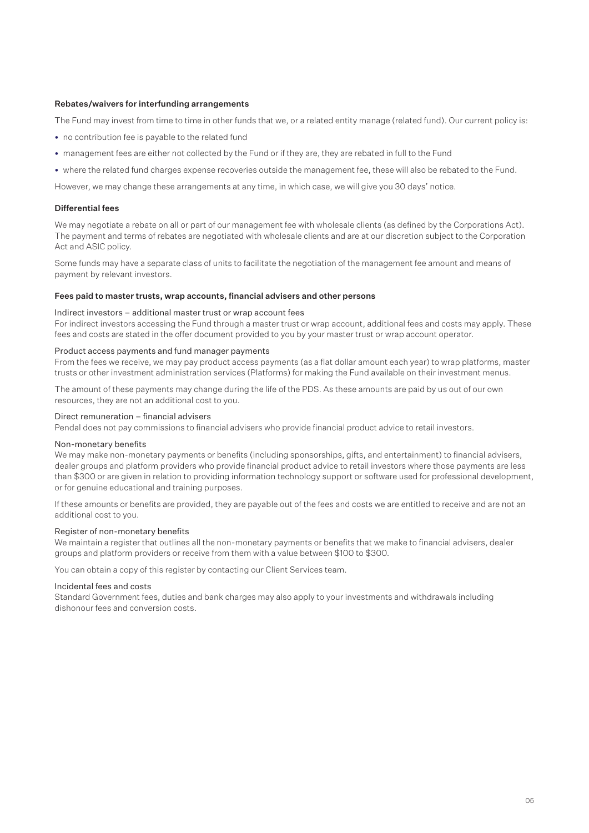#### Rebates/waivers for interfunding arrangements

The Fund may invest from time to time in other funds that we, or a related entity manage (related fund). Our current policy is:

- no contribution fee is payable to the related fund
- management fees are either not collected by the Fund or if they are, they are rebated in full to the Fund
- where the related fund charges expense recoveries outside the management fee, these will also be rebated to the Fund.

However, we may change these arrangements at any time, in which case, we will give you 30 days' notice.

#### Differential fees

We may negotiate a rebate on all or part of our management fee with wholesale clients (as defined by the Corporations Act). The payment and terms of rebates are negotiated with wholesale clients and are at our discretion subject to the Corporation Act and ASIC policy.

Some funds may have a separate class of units to facilitate the negotiation of the management fee amount and means of payment by relevant investors.

#### Fees paid to master trusts, wrap accounts, financial advisers and other persons

#### Indirect investors – additional master trust or wrap account fees

For indirect investors accessing the Fund through a master trust or wrap account, additional fees and costs may apply. These fees and costs are stated in the offer document provided to you by your master trust or wrap account operator.

#### Product access payments and fund manager payments

From the fees we receive, we may pay product access payments (as a flat dollar amount each year) to wrap platforms, master trusts or other investment administration services (Platforms) for making the Fund available on their investment menus.

The amount of these payments may change during the life of the PDS. As these amounts are paid by us out of our own resources, they are not an additional cost to you.

### Direct remuneration – financial advisers

Pendal does not pay commissions to financial advisers who provide financial product advice to retail investors.

#### Non-monetary benefits

We may make non-monetary payments or benefits (including sponsorships, gifts, and entertainment) to financial advisers, dealer groups and platform providers who provide financial product advice to retail investors where those payments are less than \$300 or are given in relation to providing information technology support or software used for professional development, or for genuine educational and training purposes.

If these amounts or benefits are provided, they are payable out of the fees and costs we are entitled to receive and are not an additional cost to you.

#### Register of non-monetary benefits

We maintain a register that outlines all the non-monetary payments or benefits that we make to financial advisers, dealer groups and platform providers or receive from them with a value between \$100 to \$300.

You can obtain a copy of this register by contacting our Client Services team.

#### Incidental fees and costs

Standard Government fees, duties and bank charges may also apply to your investments and withdrawals including dishonour fees and conversion costs.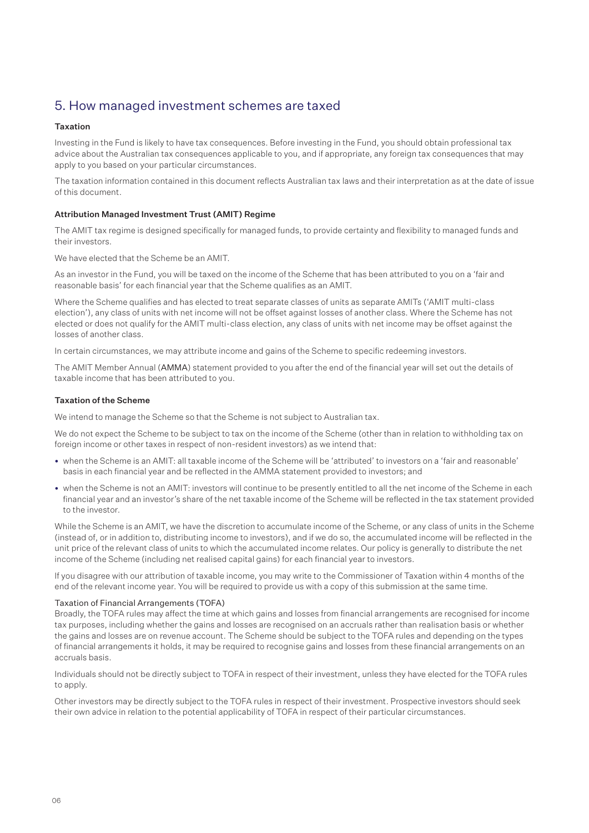## 5. How managed investment schemes are taxed

#### Taxation

Investing in the Fund is likely to have tax consequences. Before investing in the Fund, you should obtain professional tax advice about the Australian tax consequences applicable to you, and if appropriate, any foreign tax consequences that may apply to you based on your particular circumstances.

The taxation information contained in this document reflects Australian tax laws and their interpretation as at the date of issue of this document.

#### Attribution Managed Investment Trust (AMIT) Regime

The AMIT tax regime is designed specifically for managed funds, to provide certainty and flexibility to managed funds and their investors.

We have elected that the Scheme be an AMIT.

As an investor in the Fund, you will be taxed on the income of the Scheme that has been attributed to you on a 'fair and reasonable basis' for each financial year that the Scheme qualifies as an AMIT.

Where the Scheme qualifies and has elected to treat separate classes of units as separate AMITs ('AMIT multi-class election'), any class of units with net income will not be offset against losses of another class. Where the Scheme has not elected or does not qualify for the AMIT multi-class election, any class of units with net income may be offset against the losses of another class.

In certain circumstances, we may attribute income and gains of the Scheme to specific redeeming investors.

The AMIT Member Annual (AMMA) statement provided to you after the end of the financial year will set out the details of taxable income that has been attributed to you.

#### Taxation of the Scheme

We intend to manage the Scheme so that the Scheme is not subject to Australian tax.

We do not expect the Scheme to be subject to tax on the income of the Scheme (other than in relation to withholding tax on foreign income or other taxes in respect of non-resident investors) as we intend that:

- when the Scheme is an AMIT: all taxable income of the Scheme will be 'attributed' to investors on a 'fair and reasonable' basis in each financial year and be reflected in the AMMA statement provided to investors; and
- when the Scheme is not an AMIT: investors will continue to be presently entitled to all the net income of the Scheme in each financial year and an investor's share of the net taxable income of the Scheme will be reflected in the tax statement provided to the investor.

While the Scheme is an AMIT, we have the discretion to accumulate income of the Scheme, or any class of units in the Scheme (instead of, or in addition to, distributing income to investors), and if we do so, the accumulated income will be reflected in the unit price of the relevant class of units to which the accumulated income relates. Our policy is generally to distribute the net income of the Scheme (including net realised capital gains) for each financial year to investors.

If you disagree with our attribution of taxable income, you may write to the Commissioner of Taxation within 4 months of the end of the relevant income year. You will be required to provide us with a copy of this submission at the same time.

#### Taxation of Financial Arrangements (TOFA)

Broadly, the TOFA rules may affect the time at which gains and losses from financial arrangements are recognised for income tax purposes, including whether the gains and losses are recognised on an accruals rather than realisation basis or whether the gains and losses are on revenue account. The Scheme should be subject to the TOFA rules and depending on the types of financial arrangements it holds, it may be required to recognise gains and losses from these financial arrangements on an accruals basis.

Individuals should not be directly subject to TOFA in respect of their investment, unless they have elected for the TOFA rules to apply.

Other investors may be directly subject to the TOFA rules in respect of their investment. Prospective investors should seek their own advice in relation to the potential applicability of TOFA in respect of their particular circumstances.